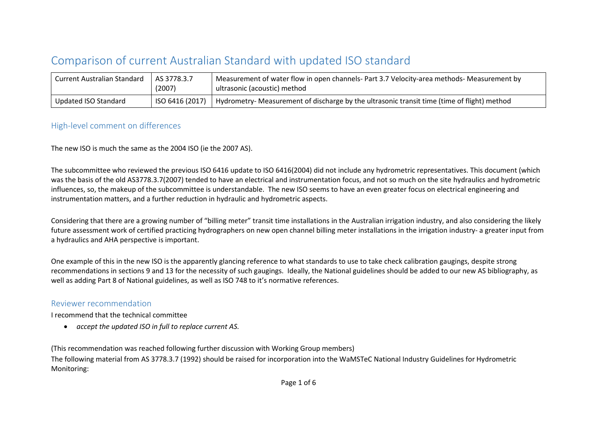## Comparison of current Australian Standard with updated ISO standard

| <b>Current Australian Standard</b> | AS 3778.3.7<br>(2007) | Measurement of water flow in open channels- Part 3.7 Velocity-area methods- Measurement by<br>ultrasonic (acoustic) method |
|------------------------------------|-----------------------|----------------------------------------------------------------------------------------------------------------------------|
| Updated ISO Standard               |                       | ISO 6416 (2017)   Hydrometry- Measurement of discharge by the ultrasonic transit time (time of flight) method              |

## High-level comment on differences

The new ISO is much the same as the 2004 ISO (ie the 2007 AS).

The subcommittee who reviewed the previous ISO 6416 update to ISO 6416(2004) did not include any hydrometric representatives. This document (which was the basis of the old AS3778.3.7(2007) tended to have an electrical and instrumentation focus, and not so much on the site hydraulics and hydrometric influences, so, the makeup of the subcommittee is understandable. The new ISO seems to have an even greater focus on electrical engineering and instrumentation matters, and a further reduction in hydraulic and hydrometric aspects.

Considering that there are a growing number of "billing meter" transit time installations in the Australian irrigation industry, and also considering the likely future assessment work of certified practicing hydrographers on new open channel billing meter installations in the irrigation industry- a greater input from a hydraulics and AHA perspective is important.

One example of this in the new ISO is the apparently glancing reference to what standards to use to take check calibration gaugings, despite strong recommendations in sections 9 and 13 for the necessity of such gaugings. Ideally, the National guidelines should be added to our new AS bibliography, as well as adding Part 8 of National guidelines, as well as ISO 748 to it's normative references.

## Reviewer recommendation

I recommend that the technical committee

• *accept the updated ISO in full to replace current AS.* 

(This recommendation was reached following further discussion with Working Group members)

The following material from AS 3778.3.7 (1992) should be raised for incorporation into the WaMSTeC National Industry Guidelines for Hydrometric Monitoring: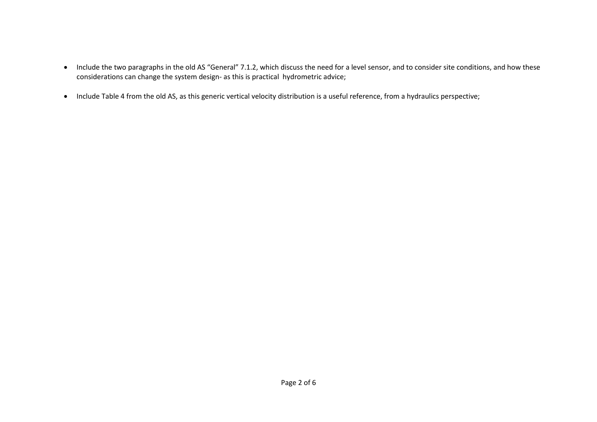- Include the two paragraphs in the old AS "General" 7.1.2, which discuss the need for a level sensor, and to consider site conditions, and how these considerations can change the system design- as this is practical hydrometric advice;
- Include Table 4 from the old AS, as this generic vertical velocity distribution is a useful reference, from a hydraulics perspective;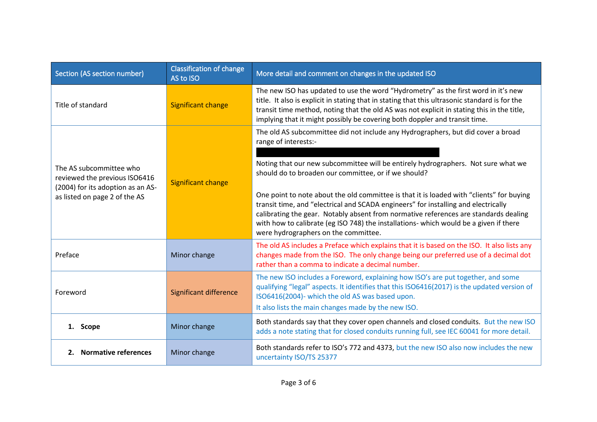| <b>Classification of change</b><br>Section (AS section number)<br>AS to ISO                   |                               | More detail and comment on changes in the updated ISO                                                                                                                                                                                                                                                                                                                                                   |
|-----------------------------------------------------------------------------------------------|-------------------------------|---------------------------------------------------------------------------------------------------------------------------------------------------------------------------------------------------------------------------------------------------------------------------------------------------------------------------------------------------------------------------------------------------------|
| Title of standard                                                                             | <b>Significant change</b>     | The new ISO has updated to use the word "Hydrometry" as the first word in it's new<br>title. It also is explicit in stating that in stating that this ultrasonic standard is for the<br>transit time method, noting that the old AS was not explicit in stating this in the title,<br>implying that it might possibly be covering both doppler and transit time.                                        |
|                                                                                               | <b>Significant change</b>     | The old AS subcommittee did not include any Hydrographers, but did cover a broad<br>range of interests:-                                                                                                                                                                                                                                                                                                |
| The AS subcommittee who<br>reviewed the previous ISO6416<br>(2004) for its adoption as an AS- |                               | Noting that our new subcommittee will be entirely hydrographers. Not sure what we<br>should do to broaden our committee, or if we should?                                                                                                                                                                                                                                                               |
| as listed on page 2 of the AS                                                                 |                               | One point to note about the old committee is that it is loaded with "clients" for buying<br>transit time, and "electrical and SCADA engineers" for installing and electrically<br>calibrating the gear. Notably absent from normative references are standards dealing<br>with how to calibrate (eg ISO 748) the installations- which would be a given if there<br>were hydrographers on the committee. |
| Preface                                                                                       | Minor change                  | The old AS includes a Preface which explains that it is based on the ISO. It also lists any<br>changes made from the ISO. The only change being our preferred use of a decimal dot<br>rather than a comma to indicate a decimal number.                                                                                                                                                                 |
| Foreword                                                                                      | <b>Significant difference</b> | The new ISO includes a Foreword, explaining how ISO's are put together, and some<br>qualifying "legal" aspects. It identifies that this ISO6416(2017) is the updated version of<br>ISO6416(2004)- which the old AS was based upon.<br>It also lists the main changes made by the new ISO.                                                                                                               |
| 1. Scope                                                                                      | Minor change                  | Both standards say that they cover open channels and closed conduits. But the new ISO<br>adds a note stating that for closed conduits running full, see IEC 60041 for more detail.                                                                                                                                                                                                                      |
| 2. Normative references                                                                       | Minor change                  | Both standards refer to ISO's 772 and 4373, but the new ISO also now includes the new<br>uncertainty ISO/TS 25377                                                                                                                                                                                                                                                                                       |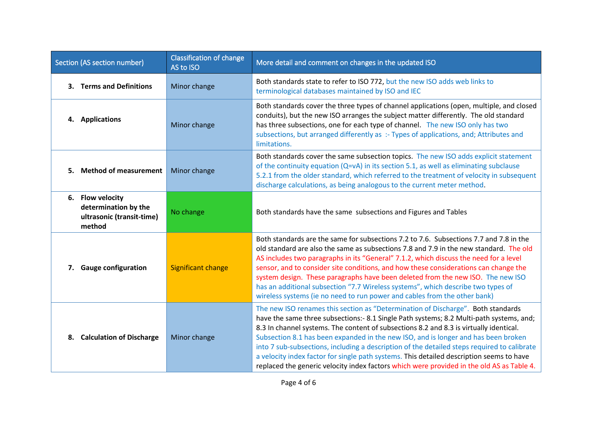| Section (AS section number) |                                                                                 | <b>Classification of change</b><br>AS to ISO | More detail and comment on changes in the updated ISO                                                                                                                                                                                                                                                                                                                                                                                                                                                                                                                                                                                               |
|-----------------------------|---------------------------------------------------------------------------------|----------------------------------------------|-----------------------------------------------------------------------------------------------------------------------------------------------------------------------------------------------------------------------------------------------------------------------------------------------------------------------------------------------------------------------------------------------------------------------------------------------------------------------------------------------------------------------------------------------------------------------------------------------------------------------------------------------------|
|                             | 3. Terms and Definitions                                                        | Minor change                                 | Both standards state to refer to ISO 772, but the new ISO adds web links to<br>terminological databases maintained by ISO and IEC                                                                                                                                                                                                                                                                                                                                                                                                                                                                                                                   |
|                             | 4. Applications                                                                 | Minor change                                 | Both standards cover the three types of channel applications (open, multiple, and closed<br>conduits), but the new ISO arranges the subject matter differently. The old standard<br>has three subsections, one for each type of channel. The new ISO only has two<br>subsections, but arranged differently as :- Types of applications, and; Attributes and<br>limitations.                                                                                                                                                                                                                                                                         |
|                             | 5. Method of measurement                                                        | Minor change                                 | Both standards cover the same subsection topics. The new ISO adds explicit statement<br>of the continuity equation (Q=vA) in its section 5.1, as well as eliminating subclause<br>5.2.1 from the older standard, which referred to the treatment of velocity in subsequent<br>discharge calculations, as being analogous to the current meter method.                                                                                                                                                                                                                                                                                               |
|                             | 6. Flow velocity<br>determination by the<br>ultrasonic (transit-time)<br>method | No change                                    | Both standards have the same subsections and Figures and Tables                                                                                                                                                                                                                                                                                                                                                                                                                                                                                                                                                                                     |
|                             | 7. Gauge configuration                                                          | <b>Significant change</b>                    | Both standards are the same for subsections 7.2 to 7.6. Subsections 7.7 and 7.8 in the<br>old standard are also the same as subsections 7.8 and 7.9 in the new standard. The old<br>AS includes two paragraphs in its "General" 7.1.2, which discuss the need for a level<br>sensor, and to consider site conditions, and how these considerations can change the<br>system design. These paragraphs have been deleted from the new ISO. The new ISO<br>has an additional subsection "7.7 Wireless systems", which describe two types of<br>wireless systems (ie no need to run power and cables from the other bank)                               |
|                             | 8. Calculation of Discharge                                                     | Minor change                                 | The new ISO renames this section as "Determination of Discharge". Both standards<br>have the same three subsections:- 8.1 Single Path systems; 8.2 Multi-path systems, and;<br>8.3 In channel systems. The content of subsections 8.2 and 8.3 is virtually identical.<br>Subsection 8.1 has been expanded in the new ISO, and is longer and has been broken<br>into 7 sub-subsections, including a description of the detailed steps required to calibrate<br>a velocity index factor for single path systems. This detailed description seems to have<br>replaced the generic velocity index factors which were provided in the old AS as Table 4. |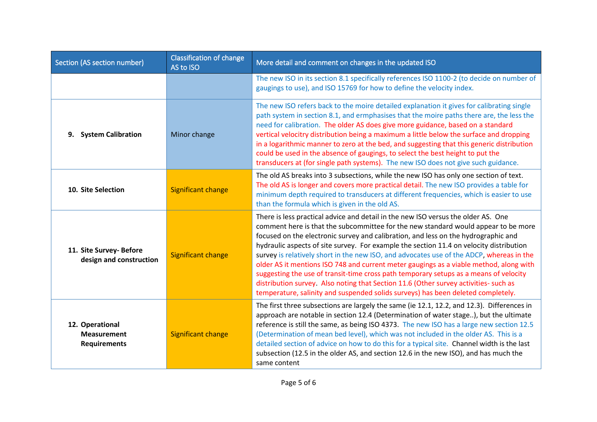| Section (AS section number)                                                               | <b>Classification of change</b><br>AS to ISO | More detail and comment on changes in the updated ISO                                                                                                                                                                                                                                                                                                                                                                                                                                                                                                                                                                                                                                                                                                                                                               |
|-------------------------------------------------------------------------------------------|----------------------------------------------|---------------------------------------------------------------------------------------------------------------------------------------------------------------------------------------------------------------------------------------------------------------------------------------------------------------------------------------------------------------------------------------------------------------------------------------------------------------------------------------------------------------------------------------------------------------------------------------------------------------------------------------------------------------------------------------------------------------------------------------------------------------------------------------------------------------------|
|                                                                                           |                                              | The new ISO in its section 8.1 specifically references ISO 1100-2 (to decide on number of<br>gaugings to use), and ISO 15769 for how to define the velocity index.                                                                                                                                                                                                                                                                                                                                                                                                                                                                                                                                                                                                                                                  |
| 9. System Calibration                                                                     | Minor change                                 | The new ISO refers back to the moire detailed explanation it gives for calibrating single<br>path system in section 8.1, and ermphasises that the moire paths there are, the less the<br>need for calibration. The older AS does give more guidance, based on a standard<br>vertical velocitry distribution being a maximum a little below the surface and dropping<br>in a logarithmic manner to zero at the bed, and suggesting that this generic distribution<br>could be used in the absence of gaugings, to select the best height to put the<br>transducers at (for single path systems). The new ISO does not give such guidance.                                                                                                                                                                            |
| 10. Site Selection                                                                        | <b>Significant change</b>                    | The old AS breaks into 3 subsections, while the new ISO has only one section of text.<br>The old AS is longer and covers more practical detail. The new ISO provides a table for<br>minimum depth required to transducers at different frequencies, which is easier to use<br>than the formula which is given in the old AS.                                                                                                                                                                                                                                                                                                                                                                                                                                                                                        |
| 11. Site Survey- Before<br>design and construction                                        | <b>Significant change</b>                    | There is less practical advice and detail in the new ISO versus the older AS. One<br>comment here is that the subcommittee for the new standard would appear to be more<br>focused on the electronic survey and calibration, and less on the hydrographic and<br>hydraulic aspects of site survey. For example the section 11.4 on velocity distribution<br>survey is relatively short in the new ISO, and advocates use of the ADCP, whereas in the<br>older AS it mentions ISO 748 and current meter gaugings as a viable method, along with<br>suggesting the use of transit-time cross path temporary setups as a means of velocity<br>distribution survey. Also noting that Section 11.6 (Other survey activities- such as<br>temperature, salinity and suspended solids surveys) has been deleted completely. |
| 12. Operational<br><b>Significant change</b><br><b>Measurement</b><br><b>Requirements</b> |                                              | The first three subsections are largely the same (ie 12.1, 12.2, and 12.3). Differences in<br>approach are notable in section 12.4 (Determination of water stage), but the ultimate<br>reference is still the same, as being ISO 4373. The new ISO has a large new section 12.5<br>(Determination of mean bed level), which was not included in the older AS. This is a<br>detailed section of advice on how to do this for a typical site. Channel width is the last<br>subsection (12.5 in the older AS, and section 12.6 in the new ISO), and has much the<br>same content                                                                                                                                                                                                                                       |